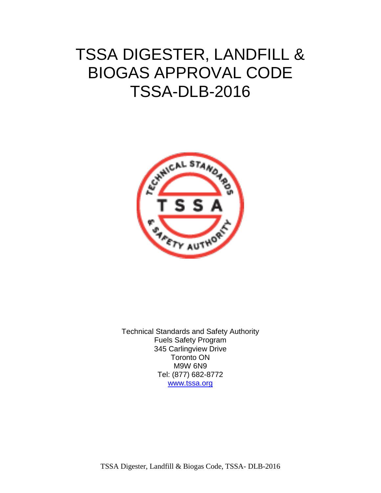# TSSA DIGESTER, LANDFILL & BIOGAS APPROVAL CODE TSSA-DLB-2016



Technical Standards and Safety Authority Fuels Safety Program 345 Carlingview Drive Toronto ON M9W 6N9 Tel: (877) 682-8772 www.tssa.org

TSSA Digester, Landfill & Biogas Code, TSSA- DLB-2016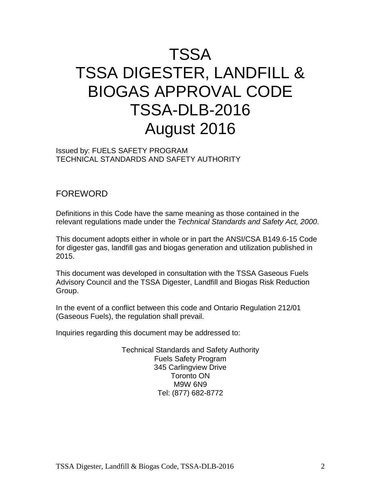# TSSA TSSA DIGESTER, LANDFILL & BIOGAS APPROVAL CODE TSSA-DLB-2016 August 2016

Issued by: FUELS SAFETY PROGRAM TECHNICAL STANDARDS AND SAFETY AUTHORITY

## FOREWORD

Definitions in this Code have the same meaning as those contained in the relevant regulations made under the *Technical Standards and Safety Act, 2000*.

This document adopts either in whole or in part the ANSI/CSA B149.6-15 Code for digester gas, landfill gas and biogas generation and utilization published in 2015.

This document was developed in consultation with the TSSA Gaseous Fuels Advisory Council and the TSSA Digester, Landfill and Biogas Risk Reduction Group.

In the event of a conflict between this code and Ontario Regulation 212/01 (Gaseous Fuels), the regulation shall prevail.

Inquiries regarding this document may be addressed to:

Technical Standards and Safety Authority Fuels Safety Program 345 Carlingview Drive Toronto ON M9W 6N9 Tel: (877) 682-8772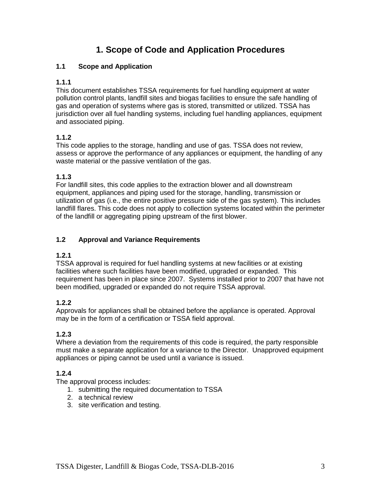# **1. Scope of Code and Application Procedures**

#### **1.1 Scope and Application**

## **1.1.1**

This document establishes TSSA requirements for fuel handling equipment at water pollution control plants, landfill sites and biogas facilities to ensure the safe handling of gas and operation of systems where gas is stored, transmitted or utilized. TSSA has jurisdiction over all fuel handling systems, including fuel handling appliances, equipment and associated piping.

## **1.1.2**

This code applies to the storage, handling and use of gas. TSSA does not review, assess or approve the performance of any appliances or equipment, the handling of any waste material or the passive ventilation of the gas.

## **1.1.3**

For landfill sites, this code applies to the extraction blower and all downstream equipment, appliances and piping used for the storage, handling, transmission or utilization of gas (i.e., the entire positive pressure side of the gas system). This includes landfill flares. This code does not apply to collection systems located within the perimeter of the landfill or aggregating piping upstream of the first blower.

## **1.2 Approval and Variance Requirements**

#### **1.2.1**

TSSA approval is required for fuel handling systems at new facilities or at existing facilities where such facilities have been modified, upgraded or expanded. This requirement has been in place since 2007. Systems installed prior to 2007 that have not been modified, upgraded or expanded do not require TSSA approval.

## **1.2.2**

Approvals for appliances shall be obtained before the appliance is operated. Approval may be in the form of a certification or TSSA field approval.

## **1.2.3**

Where a deviation from the requirements of this code is required, the party responsible must make a separate application for a variance to the Director. Unapproved equipment appliances or piping cannot be used until a variance is issued.

## **1.2.4**

The approval process includes:

- 1. submitting the required documentation to TSSA
- 2. a technical review
- 3. site verification and testing.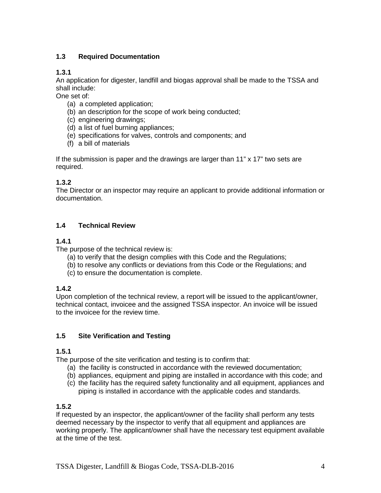## **1.3 Required Documentation**

## **1.3.1**

An application for digester, landfill and biogas approval shall be made to the TSSA and shall include:

One set of:

- (a) a completed application;
- (b) an description for the scope of work being conducted;
- (c) engineering drawings;
- (d) a list of fuel burning appliances;
- (e) specifications for valves, controls and components; and
- (f) a bill of materials

If the submission is paper and the drawings are larger than 11" x 17" two sets are required.

## **1.3.2**

The Director or an inspector may require an applicant to provide additional information or documentation.

#### **1.4 Technical Review**

#### **1.4.1**

The purpose of the technical review is:

- (a) to verify that the design complies with this Code and the Regulations;
- (b) to resolve any conflicts or deviations from this Code or the Regulations; and
- (c) to ensure the documentation is complete.

#### **1.4.2**

Upon completion of the technical review, a report will be issued to the applicant/owner, technical contact, invoicee and the assigned TSSA inspector. An invoice will be issued to the invoicee for the review time.

#### **1.5 Site Verification and Testing**

#### **1.5.1**

The purpose of the site verification and testing is to confirm that:

- (a) the facility is constructed in accordance with the reviewed documentation;
- (b) appliances, equipment and piping are installed in accordance with this code; and
- (c) the facility has the required safety functionality and all equipment, appliances and piping is installed in accordance with the applicable codes and standards.

#### **1.5.2**

If requested by an inspector, the applicant/owner of the facility shall perform any tests deemed necessary by the inspector to verify that all equipment and appliances are working properly. The applicant/owner shall have the necessary test equipment available at the time of the test.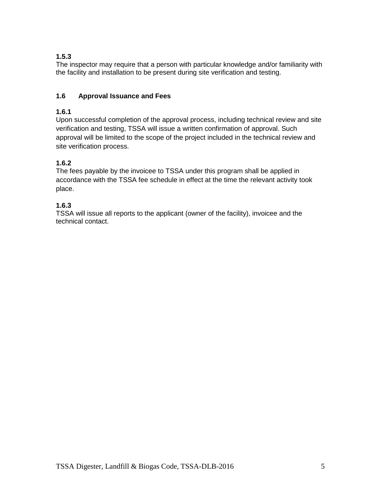## **1.5.3**

The inspector may require that a person with particular knowledge and/or familiarity with the facility and installation to be present during site verification and testing.

## **1.6 Approval Issuance and Fees**

## **1.6.1**

Upon successful completion of the approval process, including technical review and site verification and testing, TSSA will issue a written confirmation of approval. Such approval will be limited to the scope of the project included in the technical review and site verification process.

## **1.6.2**

The fees payable by the invoicee to TSSA under this program shall be applied in accordance with the TSSA fee schedule in effect at the time the relevant activity took place.

## **1.6.3**

TSSA will issue all reports to the applicant (owner of the facility), invoicee and the technical contact.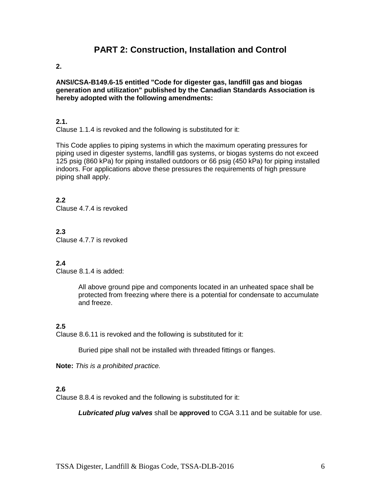## **PART 2: Construction, Installation and Control**

#### **2.**

**ANSI/CSA-B149.6-15 entitled "Code for digester gas, landfill gas and biogas generation and utilization" published by the Canadian Standards Association is hereby adopted with the following amendments:** 

#### **2.1.**

Clause 1.1.4 is revoked and the following is substituted for it:

This Code applies to piping systems in which the maximum operating pressures for piping used in digester systems, landfill gas systems, or biogas systems do not exceed 125 psig (860 kPa) for piping installed outdoors or 66 psig (450 kPa) for piping installed indoors. For applications above these pressures the requirements of high pressure piping shall apply.

**2.2** Clause 4.7.4 is revoked

**2.3** Clause 4.7.7 is revoked

#### **2.4**

Clause 8.1.4 is added:

All above ground pipe and components located in an unheated space shall be protected from freezing where there is a potential for condensate to accumulate and freeze.

#### **2.5**

Clause 8.6.11 is revoked and the following is substituted for it:

Buried pipe shall not be installed with threaded fittings or flanges.

**Note:** *This is a prohibited practice.*

#### **2.6**

Clause 8.8.4 is revoked and the following is substituted for it:

*Lubricated plug valves* shall be **approved** to CGA 3.11 and be suitable for use.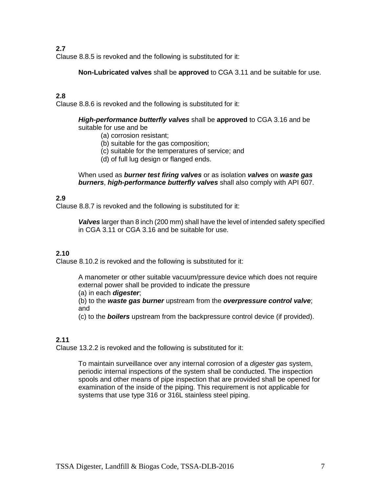Clause 8.8.5 is revoked and the following is substituted for it:

**Non-Lubricated valves** shall be **approved** to CGA 3.11 and be suitable for use.

#### **2.8**

Clause 8.8.6 is revoked and the following is substituted for it:

#### *High-performance butterfly valves* shall be **approved** to CGA 3.16 and be suitable for use and be

- (a) corrosion resistant;
- (b) suitable for the gas composition;
- (c) suitable for the temperatures of service; and
- (d) of full lug design or flanged ends.

When used as *burner test firing valves* or as isolation *valves* on *waste gas burners*, *high-performance butterfly valves* shall also comply with API 607.

#### **2.9**

Clause 8.8.7 is revoked and the following is substituted for it:

*Valves* larger than 8 inch (200 mm) shall have the level of intended safety specified in CGA 3.11 or CGA 3.16 and be suitable for use.

#### **2.10**

Clause 8.10.2 is revoked and the following is substituted for it:

A manometer or other suitable vacuum/pressure device which does not require external power shall be provided to indicate the pressure

(a) in each *digester*;

(b) to the *waste gas burner* upstream from the *overpressure control valve*; and

(c) to the *boilers* upstream from the backpressure control device (if provided).

#### **2.11**

Clause 13.2.2 is revoked and the following is substituted for it:

To maintain surveillance over any internal corrosion of a *digester gas* system, periodic internal inspections of the system shall be conducted. The inspection spools and other means of pipe inspection that are provided shall be opened for examination of the inside of the piping. This requirement is not applicable for systems that use type 316 or 316L stainless steel piping.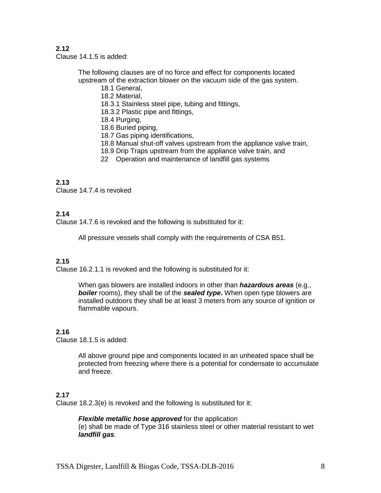Clause 14.1.5 is added:

The following clauses are of no force and effect for components located upstream of the extraction blower on the vacuum side of the gas system.

- 18.1 General, 18.2 Material,
- 18.3.1 Stainless steel pipe, tubing and fittings,
- 18.3.2 Plastic pipe and fittings,
- 18.4 Purging,
- 18.6 Buried piping,
- 18.7 Gas piping identifications,
- 18.8 Manual shut-off valves upstream from the appliance valve train,
- 18.9 Drip Traps upstream from the appliance valve train, and
- 22 Operation and maintenance of landfill gas systems

#### **2.13**

Clause 14.7.4 is revoked

#### **2.14**

Clause 14.7.6 is revoked and the following is substituted for it:

All pressure vessels shall comply with the requirements of CSA B51.

#### **2.15**

Clause 16.2.1.1 is revoked and the following is substituted for it:

When gas blowers are installed indoors in other than *hazardous areas* (e.g., *boiler* rooms), they shall be of the *sealed type***.** When open type blowers are installed outdoors they shall be at least 3 meters from any source of ignition or flammable vapours.

#### **2.16**

Clause 18.1.5 is added:

All above ground pipe and components located in an unheated space shall be protected from freezing where there is a potential for condensate to accumulate and freeze.

#### **2.17**

Clause 18.2.3(e) is revoked and the following is substituted for it:

#### *Flexible metallic hose approved* for the application

(e) shall be made of Type 316 stainless steel or other material resistant to wet *landfill gas*.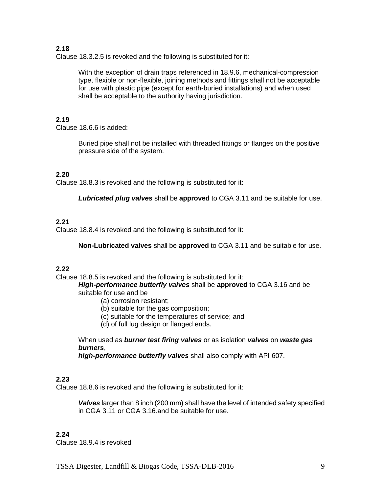Clause 18.3.2.5 is revoked and the following is substituted for it:

With the exception of drain traps referenced in 18.9.6, mechanical-compression type, flexible or non-flexible, joining methods and fittings shall not be acceptable for use with plastic pipe (except for earth-buried installations) and when used shall be acceptable to the authority having jurisdiction.

#### **2.19**

Clause 18.6.6 is added:

Buried pipe shall not be installed with threaded fittings or flanges on the positive pressure side of the system.

#### **2.20**

Clause 18.8.3 is revoked and the following is substituted for it:

*Lubricated plug valves* shall be **approved** to CGA 3.11 and be suitable for use.

#### **2.21**

Clause 18.8.4 is revoked and the following is substituted for it:

**Non-Lubricated valves** shall be **approved** to CGA 3.11 and be suitable for use.

#### **2.22**

Clause 18.8.5 is revoked and the following is substituted for it:

*High-performance butterfly valves* shall be **approved** to CGA 3.16 and be suitable for use and be

- (a) corrosion resistant;
- (b) suitable for the gas composition;
- (c) suitable for the temperatures of service; and
- (d) of full lug design or flanged ends.

When used as *burner test firing valves* or as isolation *valves* on *waste gas burners*,

*high-performance butterfly valves* shall also comply with API 607.

#### **2.23**

Clause 18.8.6 is revoked and the following is substituted for it:

*Valves* larger than 8 inch (200 mm) shall have the level of intended safety specified in CGA 3.11 or CGA 3.16.and be suitable for use.

#### **2.24**

Clause 18.9.4 is revoked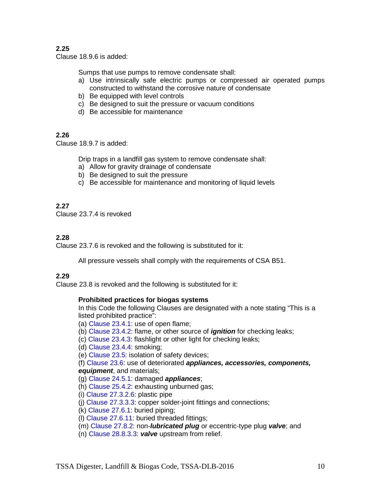Clause 18.9.6 is added:

Sumps that use pumps to remove condensate shall:

- a) Use intrinsically safe electric pumps or compressed air operated pumps constructed to withstand the corrosive nature of condensate
- b) Be equipped with level controls
- c) Be designed to suit the pressure or vacuum conditions
- d) Be accessible for maintenance

#### **2.26**

Clause 18.9.7 is added:

Drip traps in a landfill gas system to remove condensate shall:

- a) Allow for gravity drainage of condensate
- b) Be designed to suit the pressure
- c) Be accessible for maintenance and monitoring of liquid levels

#### **2.27**

Clause 23.7.4 is revoked

#### **2.28**

Clause 23.7.6 is revoked and the following is substituted for it:

All pressure vessels shall comply with the requirements of CSA B51.

#### **2.29**

Clause 23.8 is revoked and the following is substituted for it:

#### **Prohibited practices for biogas systems**

In this Code the following Clauses are designated with a note stating "This is a listed prohibited practice":

- (a) Clause 23.4.1: use of open flame;
- (b) Clause 23.4.2: flame, or other source of *ignition* for checking leaks;
- (c) Clause 23.4.3: flashlight or other light for checking leaks;

(d) Clause 23.4.4: smoking;

(e) Clause 23.5: isolation of safety devices;

(f) Clause 23.6: use of deteriorated *appliances, accessories, components, equipment*, and materials;

#### (g) Clause 24.5.1: damaged *appliances*;

(h) Clause 25.4.2: exhausting unburned gas;

(i) Clause 27.3.2.6: plastic pipe

(j) Clause 27.3.3.3: copper solder-joint fittings and connections;

(k) Clause 27.6.1: buried piping;

- (l) Clause 27.6.11: buried threaded fittings;
- (m) Clause 27.8.2: non-*lubricated plug* or eccentric-type plug *valve*; and
- (n) Clause 28.8.3.3: *valve* upstream from relief.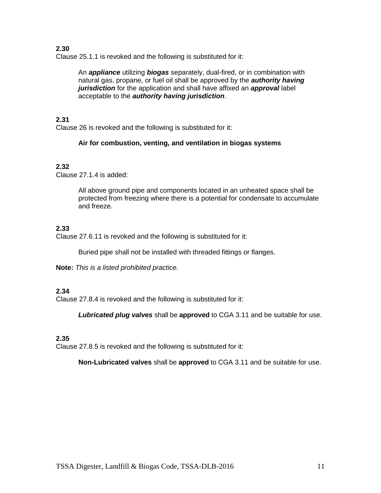Clause 25.1.1 is revoked and the following is substituted for it:

An *appliance* utilizing *biogas* separately, dual-fired, or in combination with natural gas, propane, or fuel oil shall be approved by the *authority having jurisdiction* for the application and shall have affixed an *approval* label acceptable to the *authority having jurisdiction*.

#### **2.31**

Clause 26 is revoked and the following is substituted for it:

#### **Air for combustion, venting, and ventilation in biogas systems**

#### **2.32**

Clause 27.1.4 is added:

All above ground pipe and components located in an unheated space shall be protected from freezing where there is a potential for condensate to accumulate and freeze.

#### **2.33**

Clause 27.6.11 is revoked and the following is substituted for it:

Buried pipe shall not be installed with threaded fittings or flanges.

**Note:** *This is a listed prohibited practice.*

#### **2.34**

Clause 27.8.4 is revoked and the following is substituted for it:

*Lubricated plug valves* shall be **approved** to CGA 3.11 and be suitable for use.

#### **2.35**

Clause 27.8.5 is revoked and the following is substituted for it:

**Non-Lubricated valves** shall be **approved** to CGA 3.11 and be suitable for use.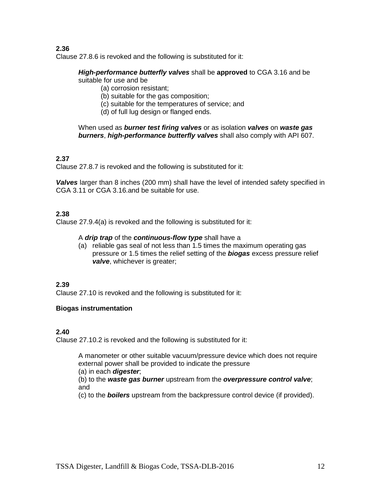Clause 27.8.6 is revoked and the following is substituted for it:

#### *High-performance butterfly valves* shall be **approved** to CGA 3.16 and be suitable for use and be

- (a) corrosion resistant;
	- (b) suitable for the gas composition;
	- (c) suitable for the temperatures of service; and
	- (d) of full lug design or flanged ends.

When used as *burner test firing valves* or as isolation *valves* on *waste gas burners*, *high-performance butterfly valves* shall also comply with API 607.

#### **2.37**

Clause 27.8.7 is revoked and the following is substituted for it:

*Valves* larger than 8 inches (200 mm) shall have the level of intended safety specified in CGA 3.11 or CGA 3.16.and be suitable for use.

#### **2.38**

Clause 27.9.4(a) is revoked and the following is substituted for it:

#### A *drip trap* of the *continuous-flow type* shall have a

(a) reliable gas seal of not less than 1.5 times the maximum operating gas pressure or 1.5 times the relief setting of the *biogas* excess pressure relief *valve*, whichever is greater;

#### **2.39**

Clause 27.10 is revoked and the following is substituted for it:

#### **Biogas instrumentation**

#### **2.40**

Clause 27.10.2 is revoked and the following is substituted for it:

A manometer or other suitable vacuum/pressure device which does not require external power shall be provided to indicate the pressure

(a) in each *digester*;

(b) to the *waste gas burner* upstream from the *overpressure control valve*; and

(c) to the *boilers* upstream from the backpressure control device (if provided).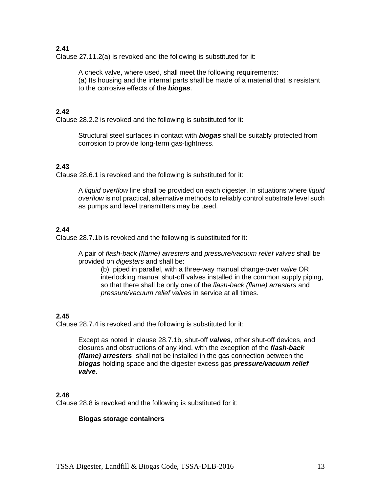Clause 27.11.2(a) is revoked and the following is substituted for it:

A check valve, where used, shall meet the following requirements: (a) Its housing and the internal parts shall be made of a material that is resistant to the corrosive effects of the *biogas*.

#### **2.42**

Clause 28.2.2 is revoked and the following is substituted for it:

Structural steel surfaces in contact with *biogas* shall be suitably protected from corrosion to provide long-term gas-tightness.

#### **2.43**

Clause 28.6.1 is revoked and the following is substituted for it:

A *liquid overflow* line shall be provided on each digester. In situations where *liquid overflow* is not practical, alternative methods to reliably control substrate level such as pumps and level transmitters may be used.

#### **2.44**

Clause 28.7.1b is revoked and the following is substituted for it:

A pair of *flash-back (flame) arresters* and *pressure/vacuum relief valves* shall be provided on *digesters* and shall be:

(b) piped in parallel, with a three-way manual change-over *valve* OR interlocking manual shut-off valves installed in the common supply piping, so that there shall be only one of the *flash-back (flame) arresters* and *pressure/vacuum relief valves* in service at all times.

#### **2.45**

Clause 28.7.4 is revoked and the following is substituted for it:

Except as noted in clause 28.7.1b, shut-off *valves*, other shut-off devices, and closures and obstructions of any kind, with the exception of the *flash-back (flame) arresters*, shall not be installed in the gas connection between the *biogas* holding space and the digester excess gas *pressure/vacuum relief valve*.

#### **2.46**

Clause 28.8 is revoked and the following is substituted for it:

#### **Biogas storage containers**